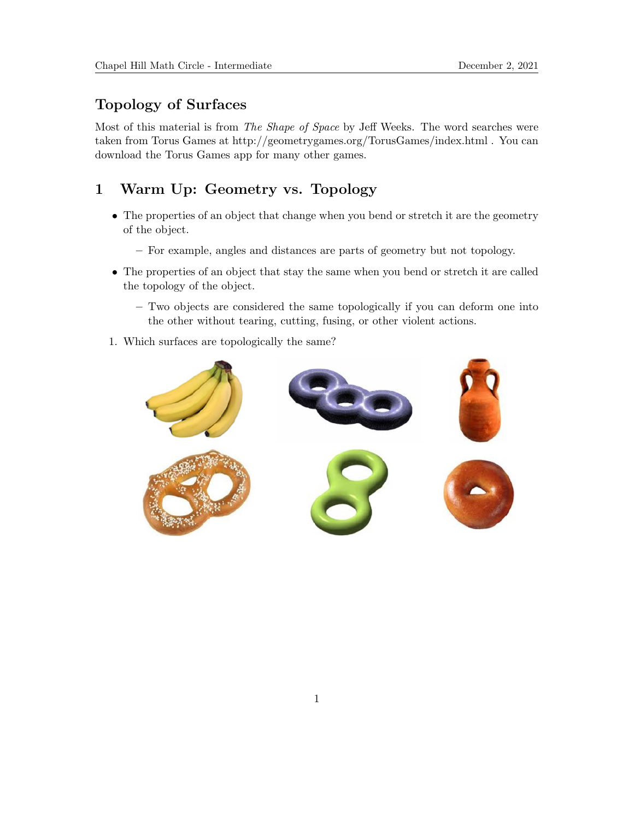# Topology of Surfaces

Most of this material is from The Shape of Space by Jeff Weeks. The word searches were taken from Torus Games at http://geometrygames.org/TorusGames/index.html . You can download the Torus Games app for many other games.

# 1 Warm Up: Geometry vs. Topology

- The properties of an object that change when you bend or stretch it are the geometry of the object.
	- For example, angles and distances are parts of geometry but not topology.
- The properties of an object that stay the same when you bend or stretch it are called the topology of the object.
	- Two objects are considered the same topologically if you can deform one into the other without tearing, cutting, fusing, or other violent actions.
- 1. Which surfaces are topologically the same?

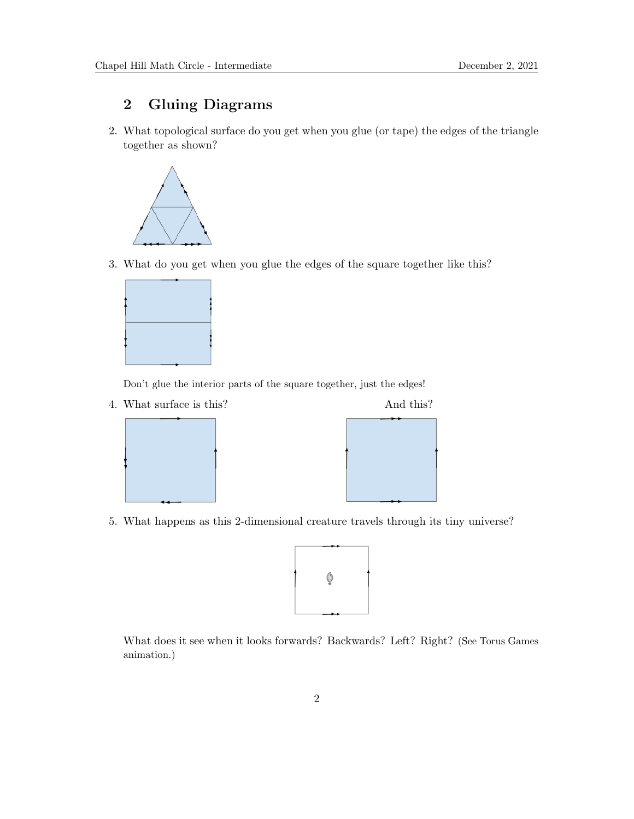# 2 Gluing Diagrams

2. What topological surface do you get when you glue (or tape) the edges of the triangle together as shown?



3. What do you get when you glue the edges of the square together like this?



Don't glue the interior parts of the square together, just the edges!

4. What surface is this? And this?

5. What happens as this 2-dimensional creature travels through its tiny universe?



What does it see when it looks forwards? Backwards? Left? Right? (See Torus Games animation.)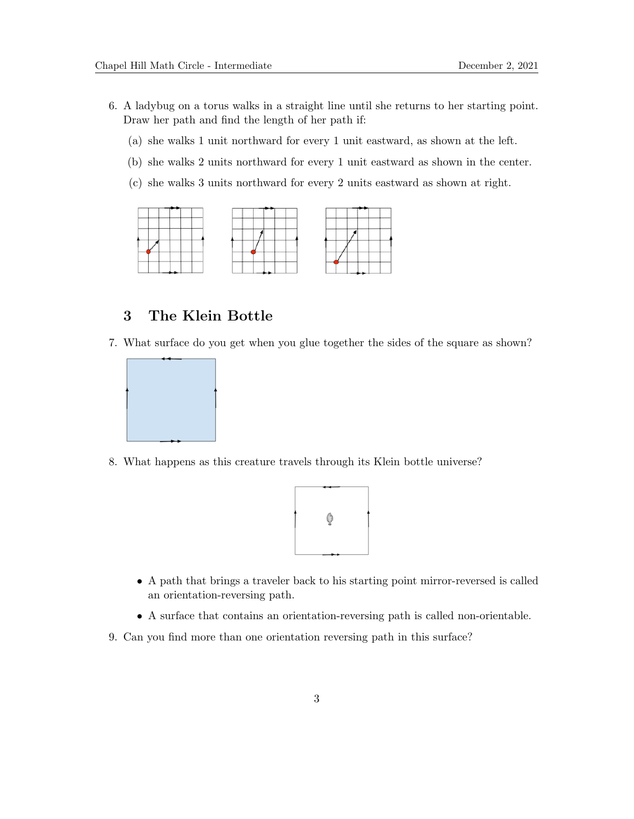- 6. A ladybug on a torus walks in a straight line until she returns to her starting point. Draw her path and find the length of her path if:
	- (a) she walks 1 unit northward for every 1 unit eastward, as shown at the left.
	- (b) she walks 2 units northward for every 1 unit eastward as shown in the center.
	- (c) she walks 3 units northward for every 2 units eastward as shown at right.



## 3 The Klein Bottle

7. What surface do you get when you glue together the sides of the square as shown?



8. What happens as this creature travels through its Klein bottle universe?



- A path that brings a traveler back to his starting point mirror-reversed is called an orientation-reversing path.
- A surface that contains an orientation-reversing path is called non-orientable.
- 9. Can you find more than one orientation reversing path in this surface?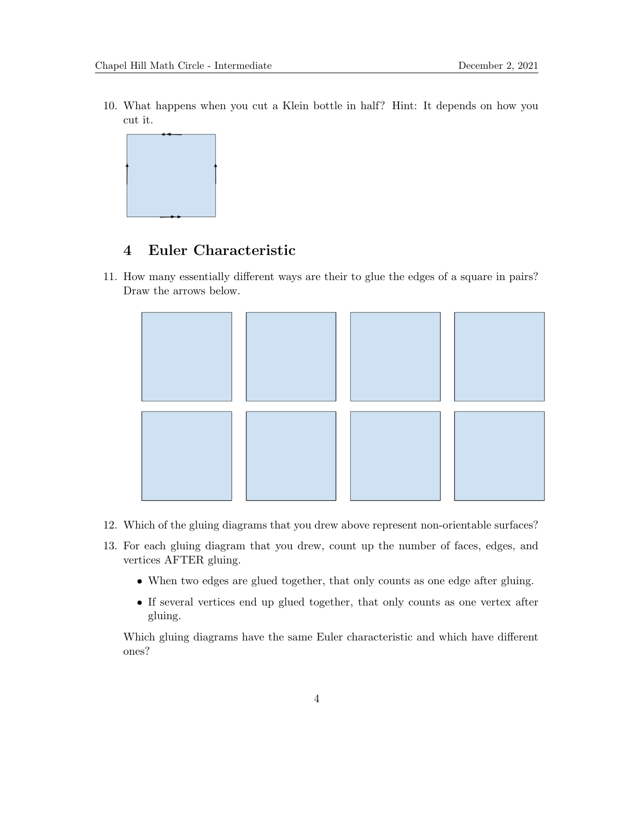10. What happens when you cut a Klein bottle in half? Hint: It depends on how you cut it.



### 4 Euler Characteristic

11. How many essentially different ways are their to glue the edges of a square in pairs? Draw the arrows below.



- 12. Which of the gluing diagrams that you drew above represent non-orientable surfaces?
- 13. For each gluing diagram that you drew, count up the number of faces, edges, and vertices AFTER gluing.
	- When two edges are glued together, that only counts as one edge after gluing.
	- If several vertices end up glued together, that only counts as one vertex after gluing.

Which gluing diagrams have the same Euler characteristic and which have different ones?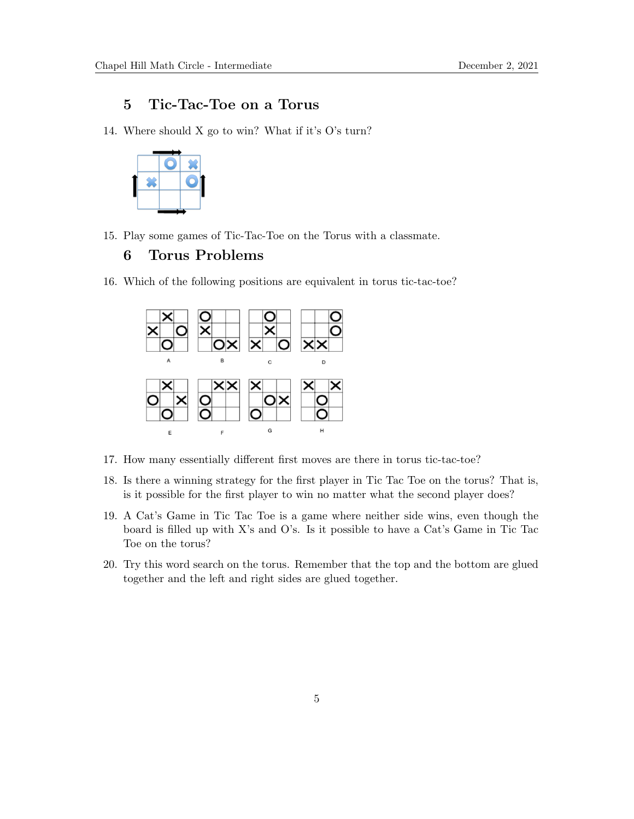### 5 Tic-Tac-Toe on a Torus

14. Where should X go to win? What if it's O's turn?



15. Play some games of Tic-Tac-Toe on the Torus with a classmate.

#### 6 Torus Problems

16. Which of the following positions are equivalent in torus tic-tac-toe?



- 17. How many essentially different first moves are there in torus tic-tac-toe?
- 18. Is there a winning strategy for the first player in Tic Tac Toe on the torus? That is, is it possible for the first player to win no matter what the second player does?
- 19. A Cat's Game in Tic Tac Toe is a game where neither side wins, even though the board is filled up with X's and O's. Is it possible to have a Cat's Game in Tic Tac Toe on the torus?
- 20. Try this word search on the torus. Remember that the top and the bottom are glued together and the left and right sides are glued together.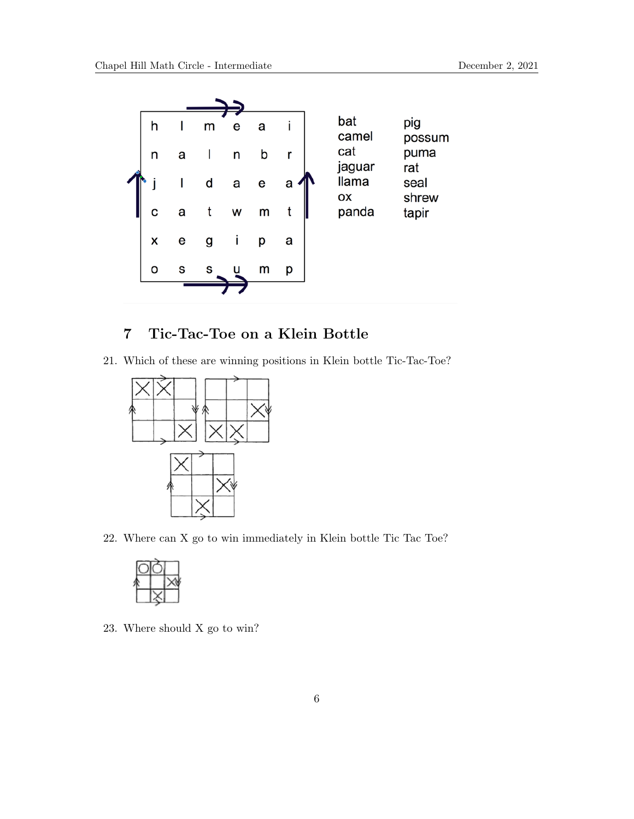

## 7 Tic-Tac-Toe on a Klein Bottle

21. Which of these are winning positions in Klein bottle Tic-Tac-Toe?



22. Where can X go to win immediately in Klein bottle Tic Tac Toe?



23. Where should X go to win?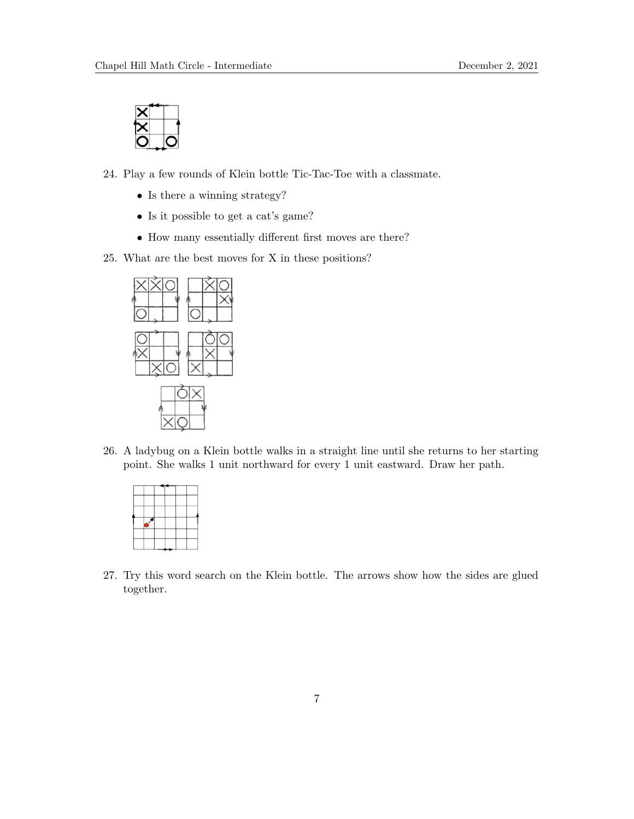

24. Play a few rounds of Klein bottle Tic-Tac-Toe with a classmate.

- Is there a winning strategy?
- Is it possible to get a cat's game?
- How many essentially different first moves are there?
- 25. What are the best moves for X in these positions?



26. A ladybug on a Klein bottle walks in a straight line until she returns to her starting point. She walks 1 unit northward for every 1 unit eastward. Draw her path.



27. Try this word search on the Klein bottle. The arrows show how the sides are glued together.